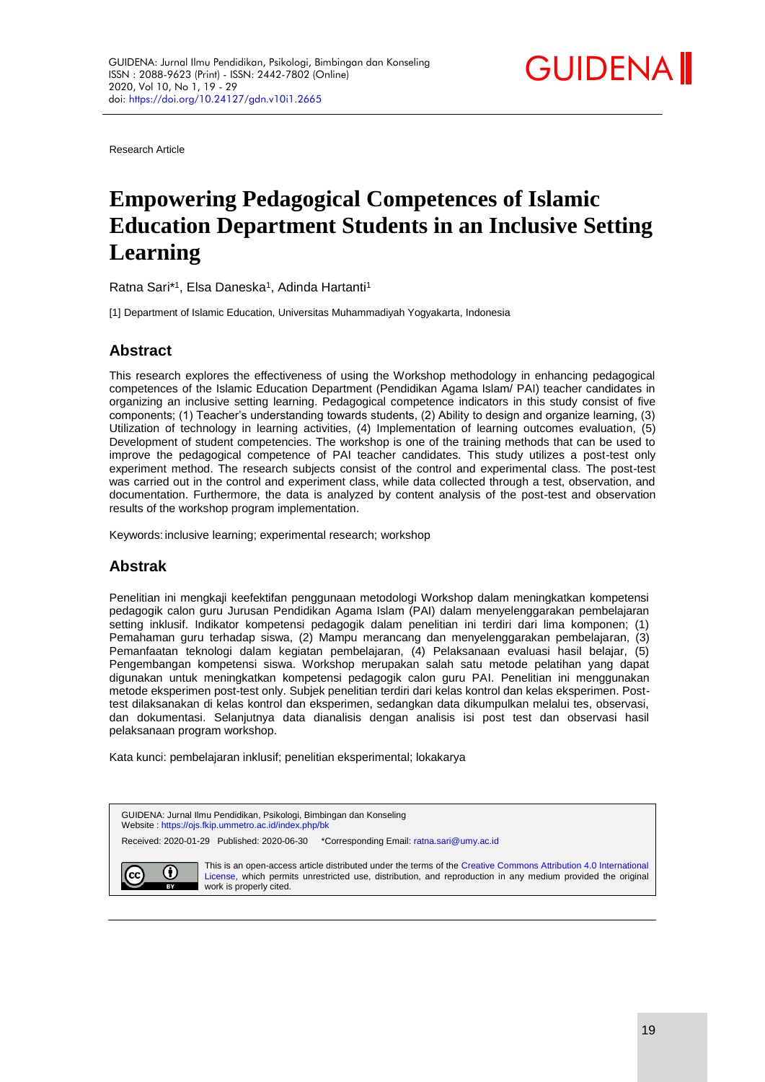

Research Article

# **Empowering Pedagogical Competences of Islamic Education Department Students in an Inclusive Setting Learning**

Ratna Sari\*<sup>1</sup>, Elsa Daneska<sup>1</sup>, Adinda Hartanti<sup>1</sup>

[1] Department of Islamic Education, Universitas Muhammadiyah Yogyakarta, Indonesia

# **Abstract**

This research explores the effectiveness of using the Workshop methodology in enhancing pedagogical competences of the Islamic Education Department (Pendidikan Agama Islam/ PAI) teacher candidates in organizing an inclusive setting learning. Pedagogical competence indicators in this study consist of five components; (1) Teacher's understanding towards students, (2) Ability to design and organize learning, (3) Utilization of technology in learning activities, (4) Implementation of learning outcomes evaluation, (5) Development of student competencies. The workshop is one of the training methods that can be used to improve the pedagogical competence of PAI teacher candidates. This study utilizes a post-test only experiment method. The research subjects consist of the control and experimental class. The post-test was carried out in the control and experiment class, while data collected through a test, observation, and documentation. Furthermore, the data is analyzed by content analysis of the post-test and observation results of the workshop program implementation.

Keywords:inclusive learning; experimental research; workshop

# **Abstrak**

Penelitian ini mengkaji keefektifan penggunaan metodologi Workshop dalam meningkatkan kompetensi pedagogik calon guru Jurusan Pendidikan Agama Islam (PAI) dalam menyelenggarakan pembelajaran setting inklusif. Indikator kompetensi pedagogik dalam penelitian ini terdiri dari lima komponen; (1) Pemahaman guru terhadap siswa, (2) Mampu merancang dan menyelenggarakan pembelajaran, (3) Pemanfaatan teknologi dalam kegiatan pembelajaran, (4) Pelaksanaan evaluasi hasil belajar, (5) Pengembangan kompetensi siswa. Workshop merupakan salah satu metode pelatihan yang dapat digunakan untuk meningkatkan kompetensi pedagogik calon guru PAI. Penelitian ini menggunakan metode eksperimen post-test only. Subjek penelitian terdiri dari kelas kontrol dan kelas eksperimen. Posttest dilaksanakan di kelas kontrol dan eksperimen, sedangkan data dikumpulkan melalui tes, observasi, dan dokumentasi. Selanjutnya data dianalisis dengan analisis isi post test dan observasi hasil pelaksanaan program workshop.

Kata kunci: pembelajaran inklusif; penelitian eksperimental; lokakarya

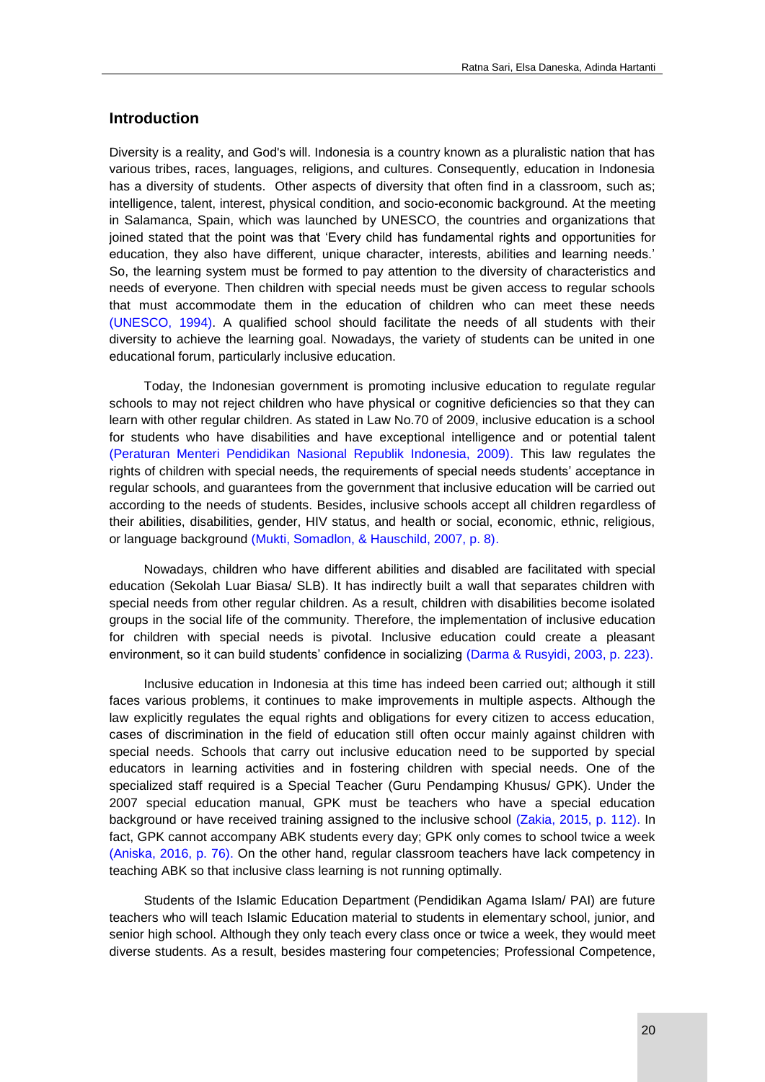## **Introduction**

Diversity is a reality, and God's will. Indonesia is a country known as a pluralistic nation that has various tribes, races, languages, religions, and cultures. Consequently, education in Indonesia has a diversity of students. Other aspects of diversity that often find in a classroom, such as; intelligence, talent, interest, physical condition, and socio-economic background. At the meeting in Salamanca, Spain, which was launched by UNESCO, the countries and organizations that joined stated that the point was that 'Every child has fundamental rights and opportunities for education, they also have different, unique character, interests, abilities and learning needs.' So, the learning system must be formed to pay attention to the diversity of characteristics and needs of everyone. Then children with special needs must be given access to regular schools that must accommodate them in the education of children who can meet these needs [\(UNESCO, 1994\).](#page-8-0) A qualified school should facilitate the needs of all students with their diversity to achieve the learning goal. Nowadays, the variety of students can be united in one educational forum, particularly inclusive education.

Today, the Indonesian government is promoting inclusive education to regulate regular schools to may not reject children who have physical or cognitive deficiencies so that they can learn with other regular children. As stated in Law No.70 of 2009, inclusive education is a school for students who have disabilities and have exceptional intelligence and or potential talent [\(Peraturan Menteri Pendidikan Nasional Republik Indonesia, 2009\).](#page-8-0) This law regulates the rights of children with special needs, the requirements of special needs students' acceptance in regular schools, and guarantees from the government that inclusive education will be carried out according to the needs of students. Besides, inclusive schools accept all children regardless of their abilities, disabilities, gender, HIV status, and health or social, economic, ethnic, religious, or language background [\(Mukti, Somadlon, & Hauschild, 2007, p. 8\).](#page-8-0)

Nowadays, children who have different abilities and disabled are facilitated with special education (Sekolah Luar Biasa/ SLB). It has indirectly built a wall that separates children with special needs from other regular children. As a result, children with disabilities become isolated groups in the social life of the community. Therefore, the implementation of inclusive education for children with special needs is pivotal. Inclusive education could create a pleasant environment, so it can build students' confidence in socializing [\(Darma & Rusyidi, 2003, p. 223\).](#page-8-0)

Inclusive education in Indonesia at this time has indeed been carried out; although it still faces various problems, it continues to make improvements in multiple aspects. Although the law explicitly regulates the equal rights and obligations for every citizen to access education, cases of discrimination in the field of education still often occur mainly against children with special needs. Schools that carry out inclusive education need to be supported by special educators in learning activities and in fostering children with special needs. One of the specialized staff required is a Special Teacher (Guru Pendamping Khusus/ GPK). Under the 2007 special education manual, GPK must be teachers who have a special education background or have received training assigned to the inclusive school [\(Zakia, 2015, p. 112\).](#page-8-0) In fact, GPK cannot accompany ABK students every day; GPK only comes to school twice a week [\(Aniska, 2016, p. 76\).](#page-8-0) On the other hand, regular classroom teachers have lack competency in teaching ABK so that inclusive class learning is not running optimally.

Students of the Islamic Education Department (Pendidikan Agama Islam/ PAI) are future teachers who will teach Islamic Education material to students in elementary school, junior, and senior high school. Although they only teach every class once or twice a week, they would meet diverse students. As a result, besides mastering four competencies; Professional Competence,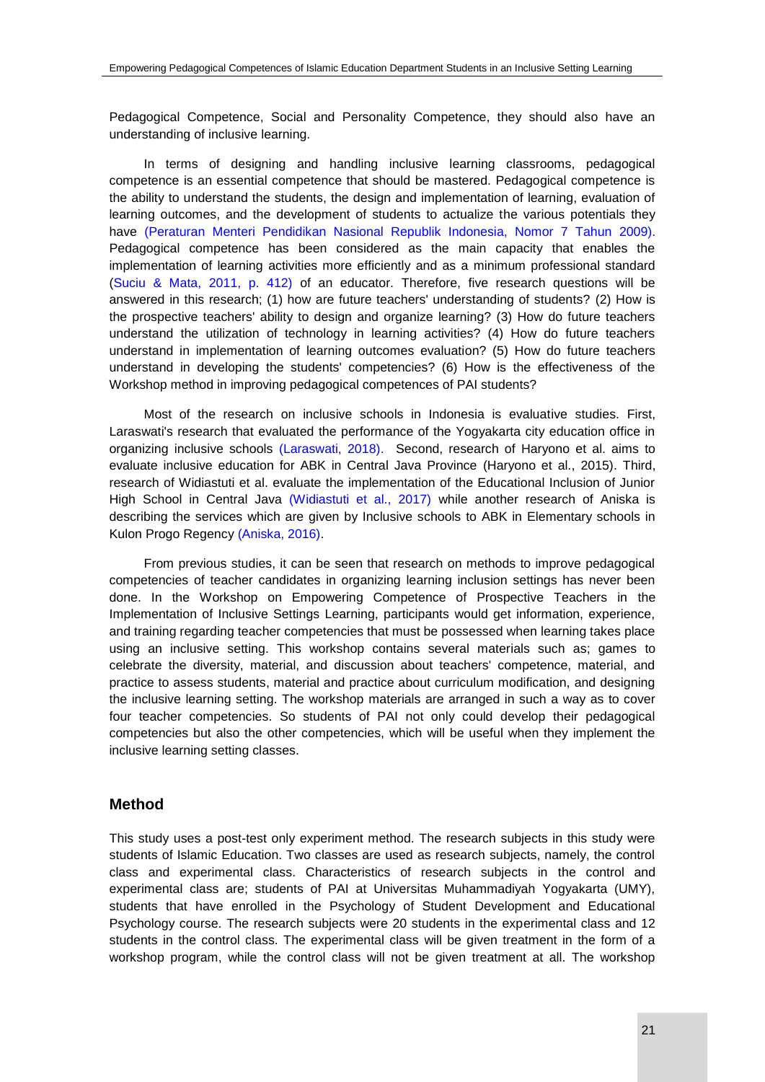Pedagogical Competence, Social and Personality Competence, they should also have an understanding of inclusive learning.

In terms of designing and handling inclusive learning classrooms, pedagogical competence is an essential competence that should be mastered. Pedagogical competence is the ability to understand the students, the design and implementation of learning, evaluation of learning outcomes, and the development of students to actualize the various potentials they have [\(Peraturan Menteri Pendidikan Nasional Republik Indonesia, Nomor 7 Tahun 2009\).](#page-8-0) Pedagogical competence has been considered as the main capacity that enables the implementation of learning activities more efficiently and as a minimum professional standard [\(Suciu & Mata, 2011, p. 412\)](#page-8-0) of an educator. Therefore, five research questions will be answered in this research; (1) how are future teachers' understanding of students? (2) How is the prospective teachers' ability to design and organize learning? (3) How do future teachers understand the utilization of technology in learning activities? (4) How do future teachers understand in implementation of learning outcomes evaluation? (5) How do future teachers understand in developing the students' competencies? (6) How is the effectiveness of the Workshop method in improving pedagogical competences of PAI students?

Most of the research on inclusive schools in Indonesia is evaluative studies. First, Laraswati's research that evaluated the performance of the Yogyakarta city education office in organizing inclusive schools [\(Laraswati, 2018\).](#page-8-0) Second, research of Haryono et al. aims to evaluate inclusive education for ABK in Central Java Province (Haryono et al., 2015). Third, research of Widiastuti et al. evaluate the implementation of the Educational Inclusion of Junior High School in Central Java [\(Widiastuti et al., 2017\)](#page-8-0) while another research of Aniska is describing the services which are given by Inclusive schools to ABK in Elementary schools in Kulon Progo Regency [\(Aniska, 2016\).](#page-8-0)

From previous studies, it can be seen that research on methods to improve pedagogical competencies of teacher candidates in organizing learning inclusion settings has never been done. In the Workshop on Empowering Competence of Prospective Teachers in the Implementation of Inclusive Settings Learning, participants would get information, experience, and training regarding teacher competencies that must be possessed when learning takes place using an inclusive setting. This workshop contains several materials such as; games to celebrate the diversity, material, and discussion about teachers' competence, material, and practice to assess students, material and practice about curriculum modification, and designing the inclusive learning setting. The workshop materials are arranged in such a way as to cover four teacher competencies. So students of PAI not only could develop their pedagogical competencies but also the other competencies, which will be useful when they implement the inclusive learning setting classes.

## **Method**

This study uses a post-test only experiment method. The research subjects in this study were students of Islamic Education. Two classes are used as research subjects, namely, the control class and experimental class. Characteristics of research subjects in the control and experimental class are; students of PAI at Universitas Muhammadiyah Yogyakarta (UMY), students that have enrolled in the Psychology of Student Development and Educational Psychology course. The research subjects were 20 students in the experimental class and 12 students in the control class. The experimental class will be given treatment in the form of a workshop program, while the control class will not be given treatment at all. The workshop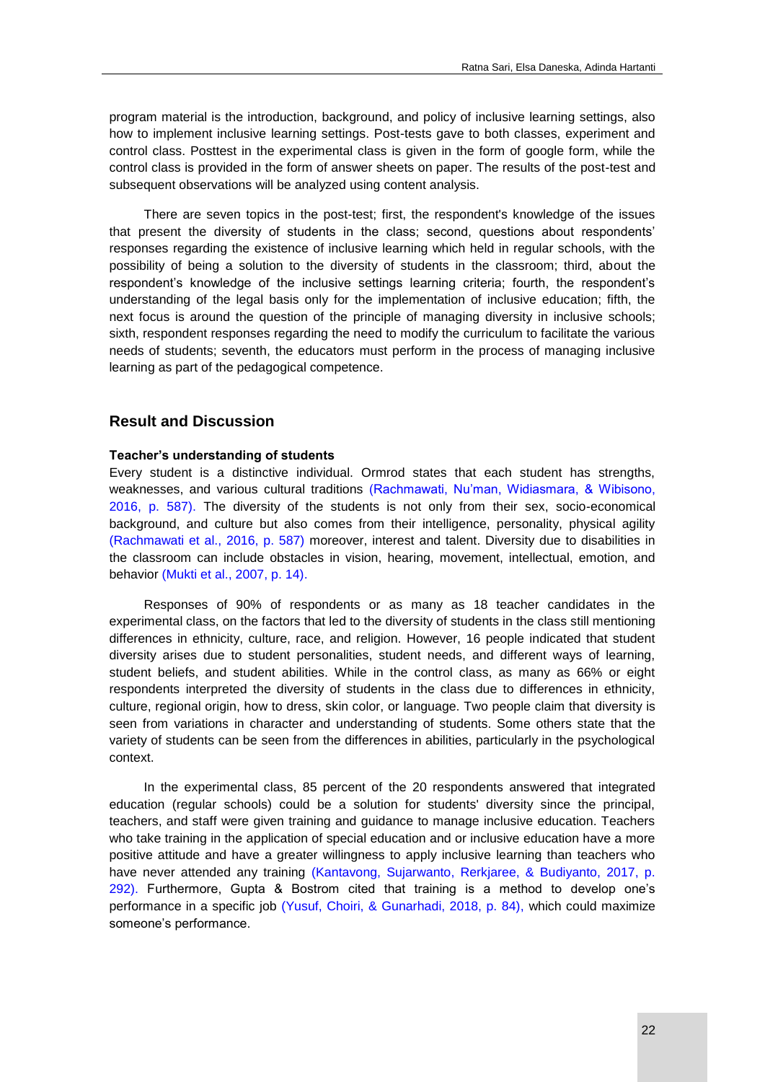program material is the introduction, background, and policy of inclusive learning settings, also how to implement inclusive learning settings. Post-tests gave to both classes, experiment and control class. Posttest in the experimental class is given in the form of google form, while the control class is provided in the form of answer sheets on paper. The results of the post-test and subsequent observations will be analyzed using content analysis.

There are seven topics in the post-test; first, the respondent's knowledge of the issues that present the diversity of students in the class; second, questions about respondents' responses regarding the existence of inclusive learning which held in regular schools, with the possibility of being a solution to the diversity of students in the classroom; third, about the respondent's knowledge of the inclusive settings learning criteria; fourth, the respondent's understanding of the legal basis only for the implementation of inclusive education; fifth, the next focus is around the question of the principle of managing diversity in inclusive schools; sixth, respondent responses regarding the need to modify the curriculum to facilitate the various needs of students; seventh, the educators must perform in the process of managing inclusive learning as part of the pedagogical competence.

## **Result and Discussion**

#### **Teacher's understanding of students**

Every student is a distinctive individual. Ormrod states that each student has strengths, weaknesses, and various cultural traditions [\(Rachmawati, Nu'man, Widiasmara, & Wibisono,](#page-8-0)  2016, p. 587). The diversity of the students is not only from their sex, socio-economical background, and culture but also comes from their intelligence, personality, physical agility [\(Rachmawati et al., 2016, p. 587\)](#page-8-0) moreover, interest and talent. Diversity due to disabilities in the classroom can include obstacles in vision, hearing, movement, intellectual, emotion, and behavior [\(Mukti et al., 2007, p. 14\).](#page-8-0)

Responses of 90% of respondents or as many as 18 teacher candidates in the experimental class, on the factors that led to the diversity of students in the class still mentioning differences in ethnicity, culture, race, and religion. However, 16 people indicated that student diversity arises due to student personalities, student needs, and different ways of learning, student beliefs, and student abilities. While in the control class, as many as 66% or eight respondents interpreted the diversity of students in the class due to differences in ethnicity, culture, regional origin, how to dress, skin color, or language. Two people claim that diversity is seen from variations in character and understanding of students. Some others state that the variety of students can be seen from the differences in abilities, particularly in the psychological context.

In the experimental class, 85 percent of the 20 respondents answered that integrated education (regular schools) could be a solution for students' diversity since the principal, teachers, and staff were given training and guidance to manage inclusive education. Teachers who take training in the application of special education and or inclusive education have a more positive attitude and have a greater willingness to apply inclusive learning than teachers who have never attended any training [\(Kantavong, Sujarwanto, Rerkjaree, & Budiyanto, 2017, p.](#page-8-0)  292). Furthermore, Gupta & Bostrom cited that training is a method to develop one's performance in a specific job [\(Yusuf, Choiri, & Gunarhadi, 2018, p. 84\),](#page-8-0) which could maximize someone's performance.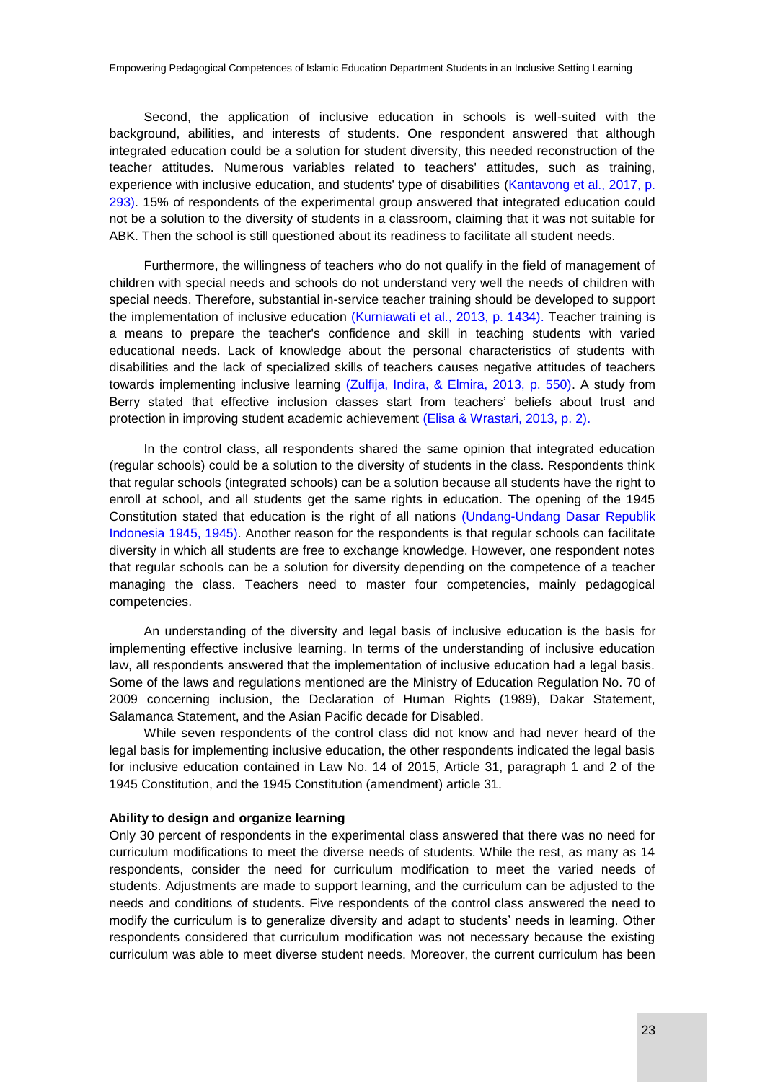Second, the application of inclusive education in schools is well-suited with the background, abilities, and interests of students. One respondent answered that although integrated education could be a solution for student diversity, this needed reconstruction of the teacher attitudes. Numerous variables related to teachers' attitudes, such as training, experience with inclusive education, and students' type of disabilities (Kantavong et al., 2017, p. [293\).](#page-8-0) 15% of respondents of the experimental group answered that integrated education could not be a solution to the diversity of students in a classroom, claiming that it was not suitable for ABK. Then the school is still questioned about its readiness to facilitate all student needs.

Furthermore, the willingness of teachers who do not qualify in the field of management of children with special needs and schools do not understand very well the needs of children with special needs. Therefore, substantial in-service teacher training should be developed to support the implementation of inclusive education [\(Kurniawati et al., 2013, p. 1434\).](#page-8-0) Teacher training is a means to prepare the teacher's confidence and skill in teaching students with varied educational needs. Lack of knowledge about the personal characteristics of students with disabilities and the lack of specialized skills of teachers causes negative attitudes of teachers towards implementing inclusive learning [\(Zulfija, Indira, & Elmira, 2013, p. 550\).](#page-8-0) A study from Berry stated that effective inclusion classes start from teachers' beliefs about trust and protection in improving student academic achievement [\(Elisa & Wrastari, 2013, p. 2\).](#page-8-0)

In the control class, all respondents shared the same opinion that integrated education (regular schools) could be a solution to the diversity of students in the class. Respondents think that regular schools (integrated schools) can be a solution because all students have the right to enroll at school, and all students get the same rights in education. The opening of the 1945 Constitution stated that education is the right of all nations [\(Undang-Undang Dasar Republik](#page-8-0)  Indonesia 1945, 1945). Another reason for the respondents is that regular schools can facilitate diversity in which all students are free to exchange knowledge. However, one respondent notes that regular schools can be a solution for diversity depending on the competence of a teacher managing the class. Teachers need to master four competencies, mainly pedagogical competencies.

An understanding of the diversity and legal basis of inclusive education is the basis for implementing effective inclusive learning. In terms of the understanding of inclusive education law, all respondents answered that the implementation of inclusive education had a legal basis. Some of the laws and regulations mentioned are the Ministry of Education Regulation No. 70 of 2009 concerning inclusion, the Declaration of Human Rights (1989), Dakar Statement, Salamanca Statement, and the Asian Pacific decade for Disabled.

While seven respondents of the control class did not know and had never heard of the legal basis for implementing inclusive education, the other respondents indicated the legal basis for inclusive education contained in Law No. 14 of 2015, Article 31, paragraph 1 and 2 of the 1945 Constitution, and the 1945 Constitution (amendment) article 31.

#### **Ability to design and organize learning**

Only 30 percent of respondents in the experimental class answered that there was no need for curriculum modifications to meet the diverse needs of students. While the rest, as many as 14 respondents, consider the need for curriculum modification to meet the varied needs of students. Adjustments are made to support learning, and the curriculum can be adjusted to the needs and conditions of students. Five respondents of the control class answered the need to modify the curriculum is to generalize diversity and adapt to students' needs in learning. Other respondents considered that curriculum modification was not necessary because the existing curriculum was able to meet diverse student needs. Moreover, the current curriculum has been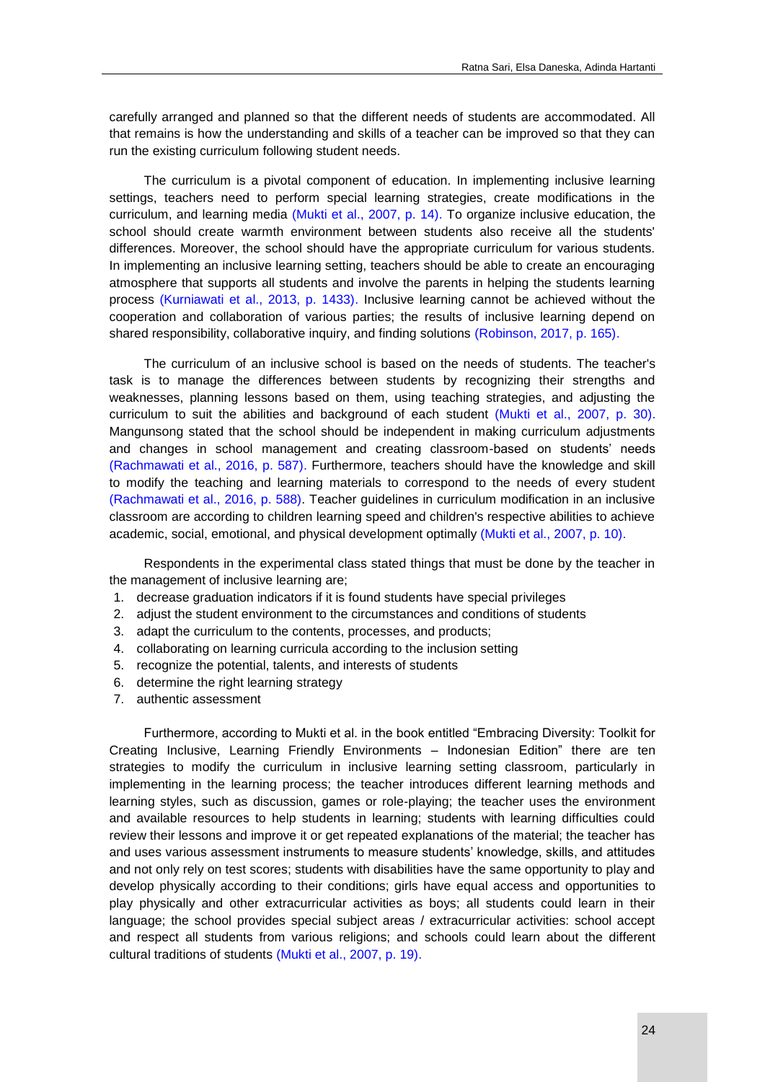carefully arranged and planned so that the different needs of students are accommodated. All that remains is how the understanding and skills of a teacher can be improved so that they can run the existing curriculum following student needs.

The curriculum is a pivotal component of education. In implementing inclusive learning settings, teachers need to perform special learning strategies, create modifications in the curriculum, and learning media [\(Mukti et al., 2007, p. 14\).](#page-8-0) To organize inclusive education, the school should create warmth environment between students also receive all the students' differences. Moreover, the school should have the appropriate curriculum for various students. In implementing an inclusive learning setting, teachers should be able to create an encouraging atmosphere that supports all students and involve the parents in helping the students learning process [\(Kurniawati et al., 2013, p. 1433\).](#page-8-0) Inclusive learning cannot be achieved without the cooperation and collaboration of various parties; the results of inclusive learning depend on shared responsibility, collaborative inquiry, and finding solutions [\(Robinson, 2017, p. 165\).](#page-8-0)

The curriculum of an inclusive school is based on the needs of students. The teacher's task is to manage the differences between students by recognizing their strengths and weaknesses, planning lessons based on them, using teaching strategies, and adjusting the curriculum to suit the abilities and background of each student [\(Mukti et al., 2007, p. 30\).](#page-8-0) Mangunsong stated that the school should be independent in making curriculum adjustments and changes in school management and creating classroom-based on students' needs [\(Rachmawati et al., 2016, p. 587\).](#page-8-0) Furthermore, teachers should have the knowledge and skill to modify the teaching and learning materials to correspond to the needs of every student [\(Rachmawati et al., 2016, p. 588\).](#page-8-0) Teacher guidelines in curriculum modification in an inclusive classroom are according to children learning speed and children's respective abilities to achieve academic, social, emotional, and physical development optimally [\(Mukti et al., 2007, p. 10\).](#page-8-0)

Respondents in the experimental class stated things that must be done by the teacher in the management of inclusive learning are;

- 1. decrease graduation indicators if it is found students have special privileges
- 2. adjust the student environment to the circumstances and conditions of students
- 3. adapt the curriculum to the contents, processes, and products;
- 4. collaborating on learning curricula according to the inclusion setting
- 5. recognize the potential, talents, and interests of students
- 6. determine the right learning strategy
- 7. authentic assessment

Furthermore, according to Mukti et al. in the book entitled "Embracing Diversity: Toolkit for Creating Inclusive, Learning Friendly Environments – Indonesian Edition" there are ten strategies to modify the curriculum in inclusive learning setting classroom, particularly in implementing in the learning process; the teacher introduces different learning methods and learning styles, such as discussion, games or role-playing; the teacher uses the environment and available resources to help students in learning; students with learning difficulties could review their lessons and improve it or get repeated explanations of the material; the teacher has and uses various assessment instruments to measure students' knowledge, skills, and attitudes and not only rely on test scores; students with disabilities have the same opportunity to play and develop physically according to their conditions; girls have equal access and opportunities to play physically and other extracurricular activities as boys; all students could learn in their language; the school provides special subject areas / extracurricular activities: school accept and respect all students from various religions; and schools could learn about the different cultural traditions of students [\(Mukti et al., 2007, p. 19\).](#page-8-0)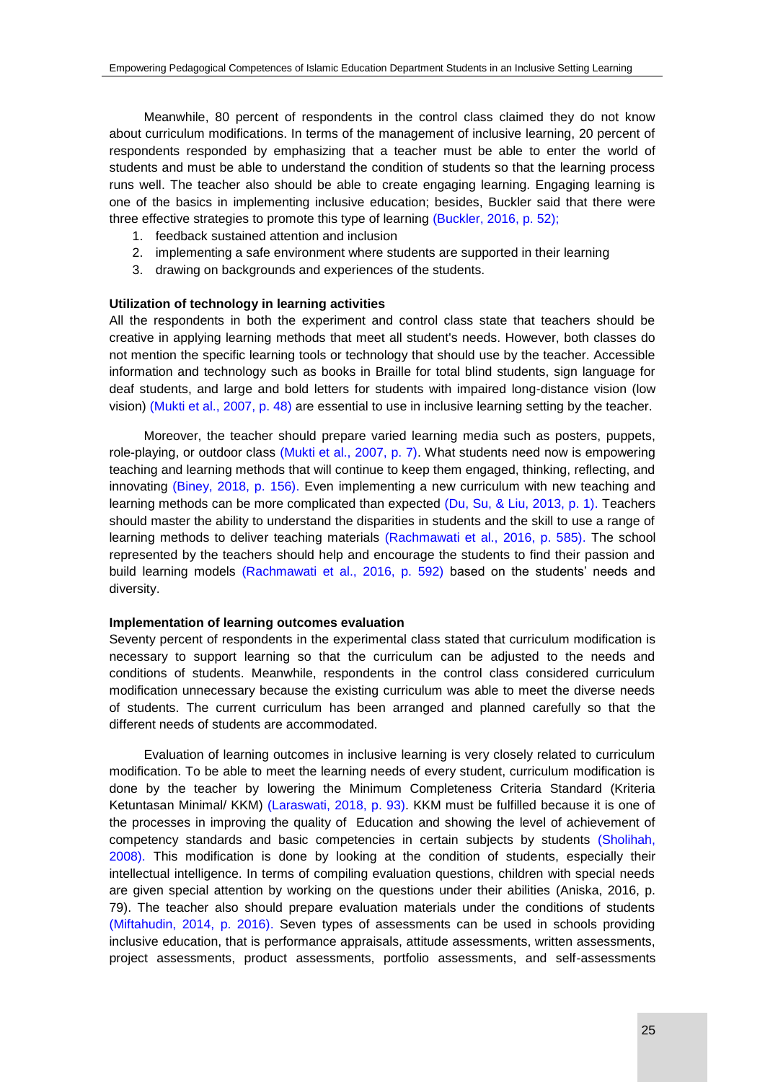Meanwhile, 80 percent of respondents in the control class claimed they do not know about curriculum modifications. In terms of the management of inclusive learning, 20 percent of respondents responded by emphasizing that a teacher must be able to enter the world of students and must be able to understand the condition of students so that the learning process runs well. The teacher also should be able to create engaging learning. Engaging learning is one of the basics in implementing inclusive education; besides, Buckler said that there were three effective strategies to promote this type of learning [\(Buckler, 2016, p. 52\);](#page-8-0)

- 1. feedback sustained attention and inclusion
- 2. implementing a safe environment where students are supported in their learning
- 3. drawing on backgrounds and experiences of the students.

#### **Utilization of technology in learning activities**

All the respondents in both the experiment and control class state that teachers should be creative in applying learning methods that meet all student's needs. However, both classes do not mention the specific learning tools or technology that should use by the teacher. Accessible information and technology such as books in Braille for total blind students, sign language for deaf students, and large and bold letters for students with impaired long-distance vision (low vision) [\(Mukti et al., 2007, p. 48\)](#page-8-0) are essential to use in inclusive learning setting by the teacher.

Moreover, the teacher should prepare varied learning media such as posters, puppets, role-playing, or outdoor class [\(Mukti et al., 2007, p. 7\).](#page-8-0) What students need now is empowering teaching and learning methods that will continue to keep them engaged, thinking, reflecting, and innovating [\(Biney, 2018, p. 156\).](#page-8-0) Even implementing a new curriculum with new teaching and learning methods can be more complicated than expected [\(Du, Su, & Liu, 2013, p. 1\).](#page-8-0) Teachers should master the ability to understand the disparities in students and the skill to use a range of learning methods to deliver teaching materials [\(Rachmawati et al., 2016, p. 585\).](#page-8-0) The school represented by the teachers should help and encourage the students to find their passion and build learning models [\(Rachmawati et al., 2016, p. 592\)](#page-8-0) based on the students' needs and diversity.

#### **Implementation of learning outcomes evaluation**

Seventy percent of respondents in the experimental class stated that curriculum modification is necessary to support learning so that the curriculum can be adjusted to the needs and conditions of students. Meanwhile, respondents in the control class considered curriculum modification unnecessary because the existing curriculum was able to meet the diverse needs of students. The current curriculum has been arranged and planned carefully so that the different needs of students are accommodated.

Evaluation of learning outcomes in inclusive learning is very closely related to curriculum modification. To be able to meet the learning needs of every student, curriculum modification is done by the teacher by lowering the Minimum Completeness Criteria Standard (Kriteria Ketuntasan Minimal/ KKM) [\(Laraswati, 2018, p. 93\).](#page-8-0) KKM must be fulfilled because it is one of the processes in improving the quality of Education and showing the level of achievement of competency standards and basic competencies in certain subjects by students [\(Sholihah,](#page-8-0)  2008). This modification is done by looking at the condition of students, especially their intellectual intelligence. In terms of compiling evaluation questions, children with special needs are given special attention by working on the questions under their abilities (Aniska, 2016, p. 79). The teacher also should prepare evaluation materials under the conditions of students [\(Miftahudin, 2014, p. 2016\).](#page-8-0) Seven types of assessments can be used in schools providing inclusive education, that is performance appraisals, attitude assessments, written assessments, project assessments, product assessments, portfolio assessments, and self-assessments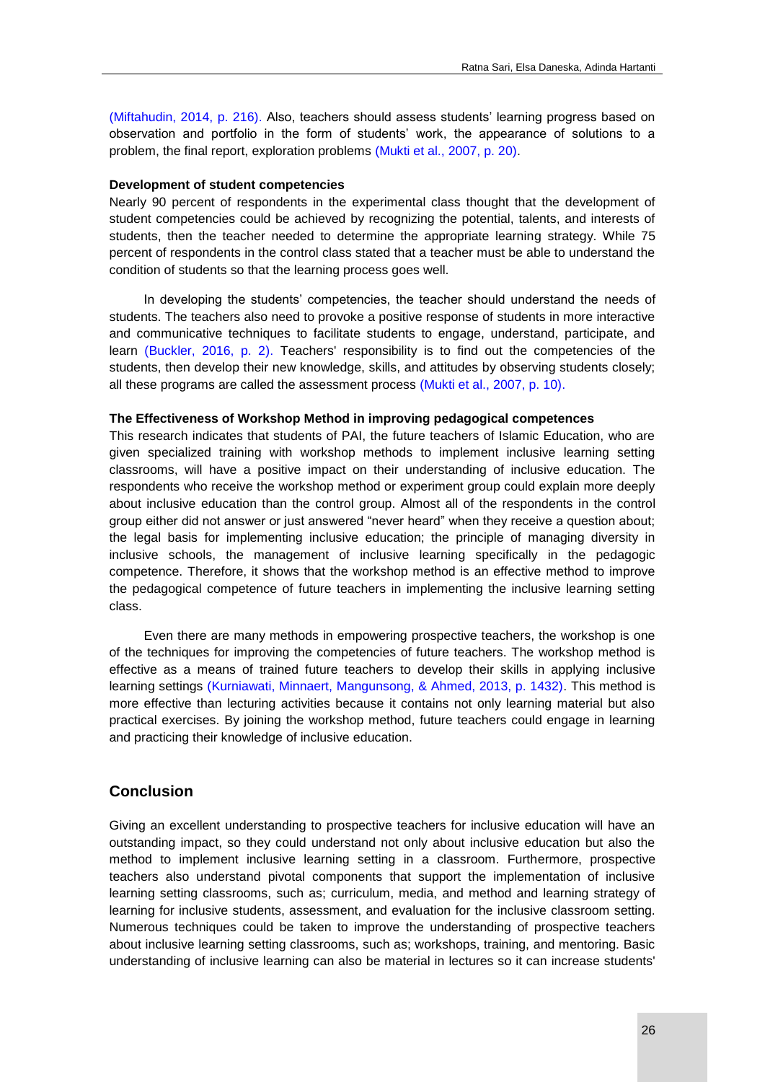[\(Miftahudin, 2014, p. 216\).](#page-8-0) Also, teachers should assess students' learning progress based on observation and portfolio in the form of students' work, the appearance of solutions to a problem, the final report, exploration problems [\(Mukti et al., 2007, p. 20\).](#page-8-0)

#### **Development of student competencies**

Nearly 90 percent of respondents in the experimental class thought that the development of student competencies could be achieved by recognizing the potential, talents, and interests of students, then the teacher needed to determine the appropriate learning strategy. While 75 percent of respondents in the control class stated that a teacher must be able to understand the condition of students so that the learning process goes well.

In developing the students' competencies, the teacher should understand the needs of students. The teachers also need to provoke a positive response of students in more interactive and communicative techniques to facilitate students to engage, understand, participate, and learn [\(Buckler, 2016, p. 2\).](#page-8-0) Teachers' responsibility is to find out the competencies of the students, then develop their new knowledge, skills, and attitudes by observing students closely; all these programs are called the assessment process [\(Mukti et al., 2007, p. 10\).](#page-8-0)

#### **The Effectiveness of Workshop Method in improving pedagogical competences**

This research indicates that students of PAI, the future teachers of Islamic Education, who are given specialized training with workshop methods to implement inclusive learning setting classrooms, will have a positive impact on their understanding of inclusive education. The respondents who receive the workshop method or experiment group could explain more deeply about inclusive education than the control group. Almost all of the respondents in the control group either did not answer or just answered "never heard" when they receive a question about; the legal basis for implementing inclusive education; the principle of managing diversity in inclusive schools, the management of inclusive learning specifically in the pedagogic competence. Therefore, it shows that the workshop method is an effective method to improve the pedagogical competence of future teachers in implementing the inclusive learning setting class.

Even there are many methods in empowering prospective teachers, the workshop is one of the techniques for improving the competencies of future teachers. The workshop method is effective as a means of trained future teachers to develop their skills in applying inclusive learning settings [\(Kurniawati, Minnaert, Mangunsong, & Ahmed, 2013, p. 1432\).](#page-8-0) This method is more effective than lecturing activities because it contains not only learning material but also practical exercises. By joining the workshop method, future teachers could engage in learning and practicing their knowledge of inclusive education.

# **Conclusion**

Giving an excellent understanding to prospective teachers for inclusive education will have an outstanding impact, so they could understand not only about inclusive education but also the method to implement inclusive learning setting in a classroom. Furthermore, prospective teachers also understand pivotal components that support the implementation of inclusive learning setting classrooms, such as; curriculum, media, and method and learning strategy of learning for inclusive students, assessment, and evaluation for the inclusive classroom setting. Numerous techniques could be taken to improve the understanding of prospective teachers about inclusive learning setting classrooms, such as; workshops, training, and mentoring. Basic understanding of inclusive learning can also be material in lectures so it can increase students'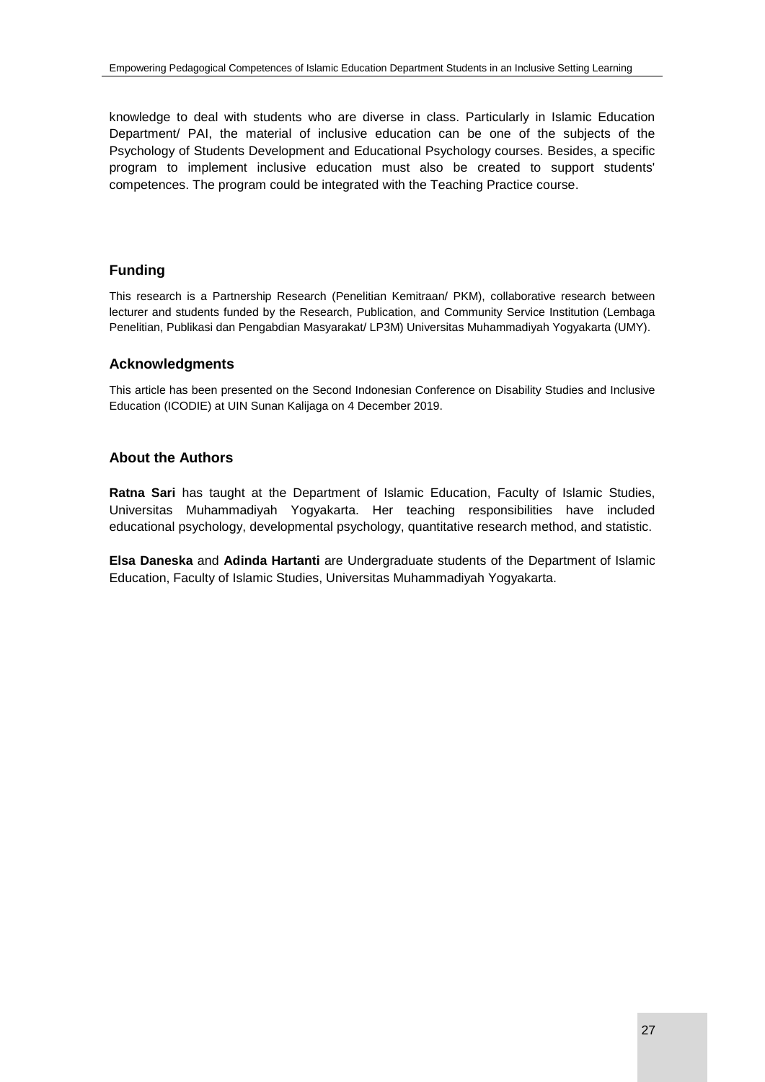knowledge to deal with students who are diverse in class. Particularly in Islamic Education Department/ PAI, the material of inclusive education can be one of the subjects of the Psychology of Students Development and Educational Psychology courses. Besides, a specific program to implement inclusive education must also be created to support students' competences. The program could be integrated with the Teaching Practice course.

# **Funding**

This research is a Partnership Research (Penelitian Kemitraan/ PKM), collaborative research between lecturer and students funded by the Research, Publication, and Community Service Institution (Lembaga Penelitian, Publikasi dan Pengabdian Masyarakat/ LP3M) Universitas Muhammadiyah Yogyakarta (UMY).

## **Acknowledgments**

This article has been presented on the Second Indonesian Conference on Disability Studies and Inclusive Education (ICODIE) at UIN Sunan Kalijaga on 4 December 2019.

# **About the Authors**

**Ratna Sari** has taught at the Department of Islamic Education, Faculty of Islamic Studies, Universitas Muhammadiyah Yogyakarta. Her teaching responsibilities have included educational psychology, developmental psychology, quantitative research method, and statistic.

<span id="page-8-0"></span>**Elsa Daneska** and **Adinda Hartanti** are Undergraduate students of the Department of Islamic Education, Faculty of Islamic Studies, Universitas Muhammadiyah Yogyakarta.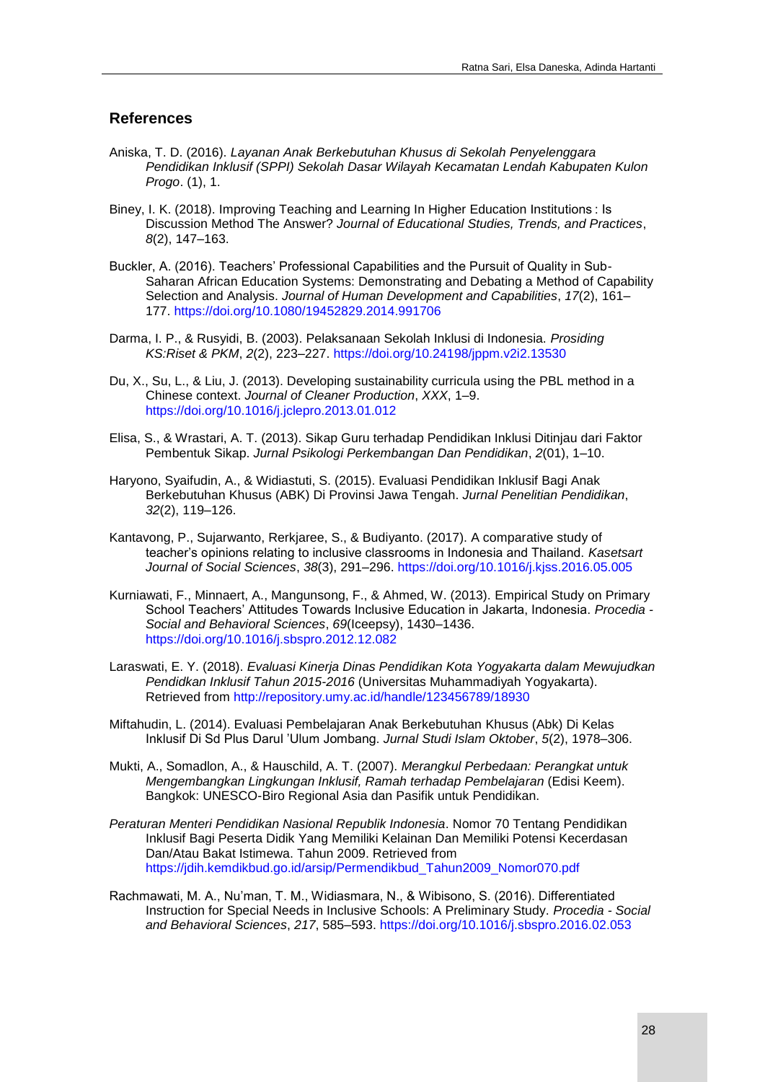# **References**

- Aniska, T. D. (2016). *Layanan Anak Berkebutuhan Khusus di Sekolah Penyelenggara Pendidikan Inklusif (SPPI) Sekolah Dasar Wilayah Kecamatan Lendah Kabupaten Kulon Progo*. (1), 1.
- Biney, I. K. (2018). Improving Teaching and Learning In Higher Education Institutions : Is Discussion Method The Answer? *Journal of Educational Studies, Trends, and Practices*, *8*(2), 147–163.
- Buckler, A. (2016). Teachers' Professional Capabilities and the Pursuit of Quality in Sub-Saharan African Education Systems: Demonstrating and Debating a Method of Capability Selection and Analysis. *Journal of Human Development and Capabilities*, *17*(2), 161– 177. https://doi.org/10.1080/19452829.2014.991706
- Darma, I. P., & Rusyidi, B. (2003). Pelaksanaan Sekolah Inklusi di Indonesia. *Prosiding KS:Riset & PKM*, *2*(2), 223–227. https://doi.org/10.24198/jppm.v2i2.13530
- Du, X., Su, L., & Liu, J. (2013). Developing sustainability curricula using the PBL method in a Chinese context. *Journal of Cleaner Production*, *XXX*, 1–9. https://doi.org/10.1016/j.jclepro.2013.01.012
- Elisa, S., & Wrastari, A. T. (2013). Sikap Guru terhadap Pendidikan Inklusi Ditinjau dari Faktor Pembentuk Sikap. *Jurnal Psikologi Perkembangan Dan Pendidikan*, *2*(01), 1–10.
- Haryono, Syaifudin, A., & Widiastuti, S. (2015). Evaluasi Pendidikan Inklusif Bagi Anak Berkebutuhan Khusus (ABK) Di Provinsi Jawa Tengah. *Jurnal Penelitian Pendidikan*, *32*(2), 119–126.
- Kantavong, P., Sujarwanto, Rerkjaree, S., & Budiyanto. (2017). A comparative study of teacher's opinions relating to inclusive classrooms in Indonesia and Thailand. *Kasetsart Journal of Social Sciences*, *38*(3), 291–296. https://doi.org/10.1016/j.kjss.2016.05.005
- Kurniawati, F., Minnaert, A., Mangunsong, F., & Ahmed, W. (2013). Empirical Study on Primary School Teachers' Attitudes Towards Inclusive Education in Jakarta, Indonesia. *Procedia - Social and Behavioral Sciences*, *69*(Iceepsy), 1430–1436. https://doi.org/10.1016/j.sbspro.2012.12.082
- Laraswati, E. Y. (2018). *Evaluasi Kinerja Dinas Pendidikan Kota Yogyakarta dalam Mewujudkan Pendidkan Inklusif Tahun 2015-2016* (Universitas Muhammadiyah Yogyakarta). Retrieved from http://repository.umy.ac.id/handle/123456789/18930
- Miftahudin, L. (2014). Evaluasi Pembelajaran Anak Berkebutuhan Khusus (Abk) Di Kelas Inklusif Di Sd Plus Darul 'Ulum Jombang. *Jurnal Studi Islam Oktober*, *5*(2), 1978–306.
- Mukti, A., Somadlon, A., & Hauschild, A. T. (2007). *Merangkul Perbedaan: Perangkat untuk Mengembangkan Lingkungan Inklusif, Ramah terhadap Pembelajaran* (Edisi Keem). Bangkok: UNESCO-Biro Regional Asia dan Pasifik untuk Pendidikan.
- *Peraturan Menteri Pendidikan Nasional Republik Indonesia*. Nomor 70 Tentang Pendidikan Inklusif Bagi Peserta Didik Yang Memiliki Kelainan Dan Memiliki Potensi Kecerdasan Dan/Atau Bakat Istimewa. Tahun 2009. Retrieved from https://jdih.kemdikbud.go.id/arsip/Permendikbud\_Tahun2009\_Nomor070.pdf
- Rachmawati, M. A., Nu'man, T. M., Widiasmara, N., & Wibisono, S. (2016). Differentiated Instruction for Special Needs in Inclusive Schools: A Preliminary Study. *Procedia - Social and Behavioral Sciences*, *217*, 585–593. https://doi.org/10.1016/j.sbspro.2016.02.053